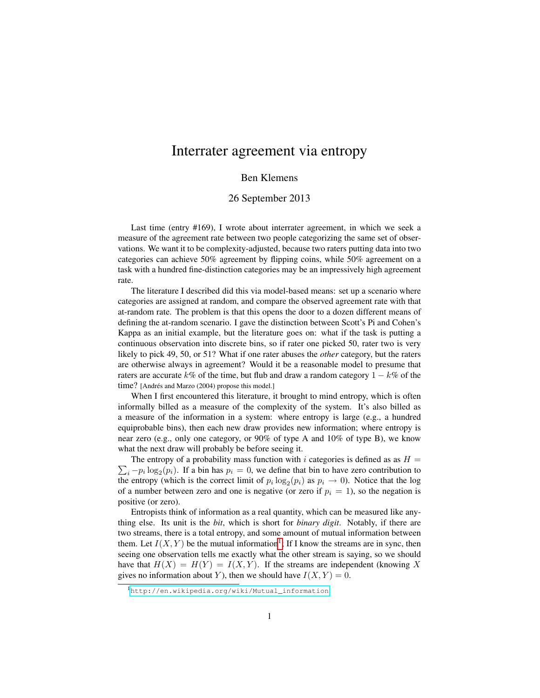## Interrater agreement via entropy

## Ben Klemens

## 26 September 2013

Last time (entry #169), I wrote about interrater agreement, in which we seek a measure of the agreement rate between two people categorizing the same set of observations. We want it to be complexity-adjusted, because two raters putting data into two categories can achieve 50% agreement by flipping coins, while 50% agreement on a task with a hundred fine-distinction categories may be an impressively high agreement rate.

The literature I described did this via model-based means: set up a scenario where categories are assigned at random, and compare the observed agreement rate with that at-random rate. The problem is that this opens the door to a dozen different means of defining the at-random scenario. I gave the distinction between Scott's Pi and Cohen's Kappa as an initial example, but the literature goes on: what if the task is putting a continuous observation into discrete bins, so if rater one picked 50, rater two is very likely to pick 49, 50, or 51? What if one rater abuses the *other* category, but the raters are otherwise always in agreement? Would it be a reasonable model to presume that raters are accurate k% of the time, but flub and draw a random category  $1 - k\%$  of the time? [Andrés and Marzo (2004) propose this model.]

When I first encountered this literature, it brought to mind entropy, which is often informally billed as a measure of the complexity of the system. It's also billed as a measure of the information in a system: where entropy is large (e.g., a hundred equiprobable bins), then each new draw provides new information; where entropy is near zero (e.g., only one category, or 90% of type A and 10% of type B), we know what the next draw will probably be before seeing it.

 $\sum_i -p_i \log_2(p_i)$ . If a bin has  $p_i = 0$ , we define that bin to have zero contribution to The entropy of a probability mass function with i categories is defined as as  $H =$ the entropy (which is the correct limit of  $p_i \log_2(p_i)$  as  $p_i \to 0$ ). Notice that the log of a number between zero and one is negative (or zero if  $p_i = 1$ ), so the negation is positive (or zero).

Entropists think of information as a real quantity, which can be measured like anything else. Its unit is the *bit*, which is short for *binary digit*. Notably, if there are two streams, there is a total entropy, and some amount of mutual information between them. Let  $I(X, Y)$  be the mutual information<sup>[1](#page-0-0)</sup>; If I know the streams are in sync, then seeing one observation tells me exactly what the other stream is saying, so we should have that  $H(X) = H(Y) = I(X, Y)$ . If the streams are independent (knowing X) gives no information about Y), then we should have  $I(X, Y) = 0$ .

<span id="page-0-0"></span><sup>1</sup>[http://en.wikipedia.org/wiki/Mutual\\_information](http://en.wikipedia.org/wiki/Mutual_information)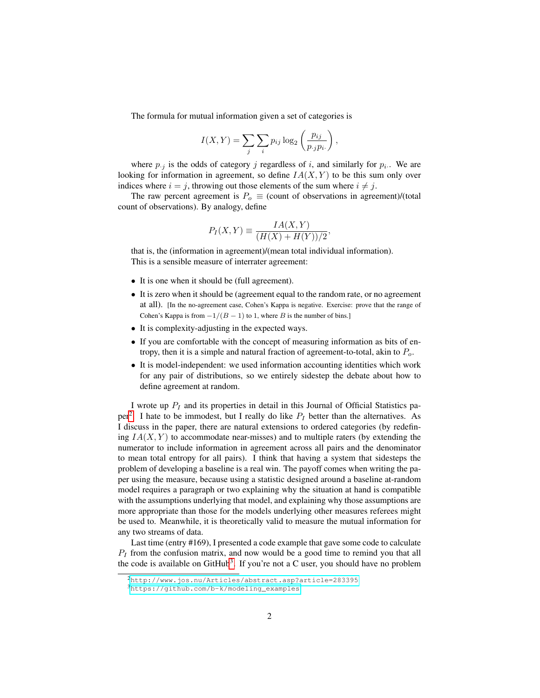The formula for mutual information given a set of categories is

$$
I(X,Y) = \sum_{j} \sum_{i} p_{ij} \log_2 \left(\frac{p_{ij}}{p_{\cdot j} p_{i\cdot}}\right),\,
$$

where  $p_{i,j}$  is the odds of category j regardless of i, and similarly for  $p_{i,j}$ . We are looking for information in agreement, so define  $IA(X, Y)$  to be this sum only over indices where  $i = j$ , throwing out those elements of the sum where  $i \neq j$ .

The raw percent agreement is  $P_0 \equiv$  (count of observations in agreement)/(total count of observations). By analogy, define

$$
P_I(X,Y) \equiv \frac{IA(X,Y)}{(H(X) + H(Y))/2},
$$

that is, the (information in agreement)/(mean total individual information). This is a sensible measure of interrater agreement:

- It is one when it should be (full agreement).
- It is zero when it should be (agreement equal to the random rate, or no agreement at all). [In the no-agreement case, Cohen's Kappa is negative. Exercise: prove that the range of Cohen's Kappa is from  $-1/(B - 1)$  to 1, where B is the number of bins.]
- It is complexity-adjusting in the expected ways.
- If you are comfortable with the concept of measuring information as bits of entropy, then it is a simple and natural fraction of agreement-to-total, akin to  $P<sub>o</sub>$ .
- It is model-independent: we used information accounting identities which work for any pair of distributions, so we entirely sidestep the debate about how to define agreement at random.

I wrote up  $P_I$  and its properties in detail in this Journal of Official Statistics pa-per<sup>[2](#page-1-0)</sup>. I hate to be immodest, but I really do like  $P_I$  better than the alternatives. As I discuss in the paper, there are natural extensions to ordered categories (by redefining  $IA(X, Y)$  to accommodate near-misses) and to multiple raters (by extending the numerator to include information in agreement across all pairs and the denominator to mean total entropy for all pairs). I think that having a system that sidesteps the problem of developing a baseline is a real win. The payoff comes when writing the paper using the measure, because using a statistic designed around a baseline at-random model requires a paragraph or two explaining why the situation at hand is compatible with the assumptions underlying that model, and explaining why those assumptions are more appropriate than those for the models underlying other measures referees might be used to. Meanwhile, it is theoretically valid to measure the mutual information for any two streams of data.

Last time (entry #169), I presented a code example that gave some code to calculate  $P_I$  from the confusion matrix, and now would be a good time to remind you that all the code is available on  $G$ it $H$ ub<sup>[3](#page-1-1)</sup>. If you're not a C user, you should have no problem

<span id="page-1-0"></span><sup>2</sup><http://www.jos.nu/Articles/abstract.asp?article=283395>

<span id="page-1-1"></span><sup>3</sup>[https://github.com/b-k/modeling\\_examples](https://github.com/b-k/modeling_examples)